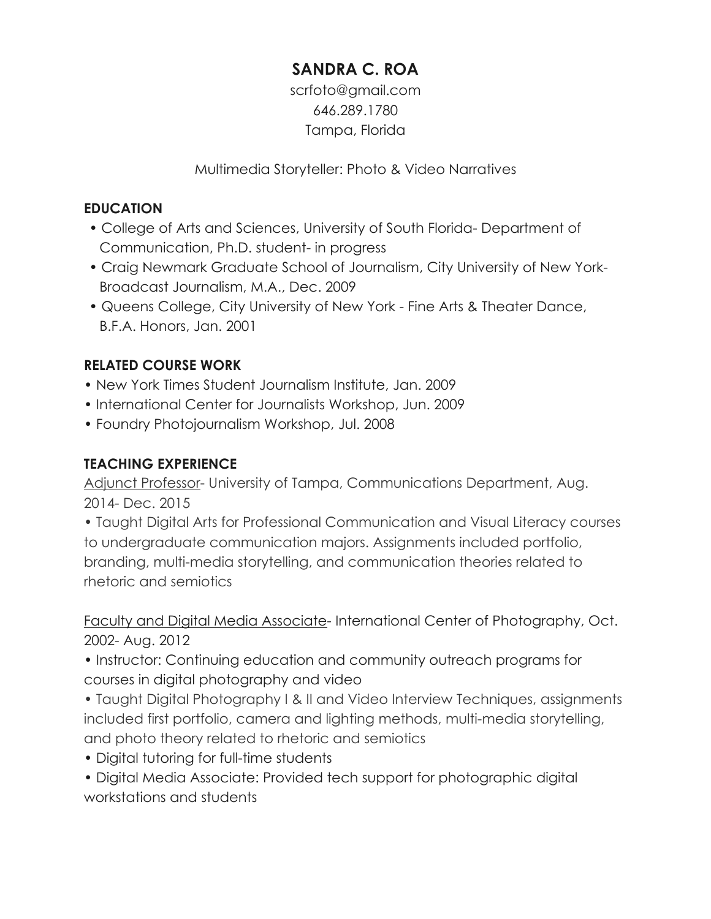# **SANDRA C. ROA**

scrfoto@gmail.com 646.289.1780 Tampa, Florida

Multimedia Storyteller: Photo & Video Narratives

## **EDUCATION**

- College of Arts and Sciences, University of South Florida- Department of Communication, Ph.D. student- in progress
- Craig Newmark Graduate School of Journalism, City University of New York-Broadcast Journalism, M.A., Dec. 2009
- Queens College, City University of New York Fine Arts & Theater Dance, B.F.A. Honors, Jan. 2001

# **RELATED COURSE WORK**

- New York Times Student Journalism Institute, Jan. 2009
- International Center for Journalists Workshop, Jun. 2009
- Foundry Photojournalism Workshop, Jul. 2008

#### **TEACHING EXPERIENCE**

Adjunct Professor- University of Tampa, Communications Department, Aug. 2014- Dec. 2015

• Taught Digital Arts for Professional Communication and Visual Literacy courses to undergraduate communication majors. Assignments included portfolio, branding, multi-media storytelling, and communication theories related to rhetoric and semiotics

Faculty and Digital Media Associate- International Center of Photography, Oct. 2002- Aug. 2012

• Instructor: Continuing education and community outreach programs for courses in digital photography and video

- Taught Digital Photography I & II and Video Interview Techniques, assignments included first portfolio, camera and lighting methods, multi-media storytelling, and photo theory related to rhetoric and semiotics
- Digital tutoring for full-time students
- Digital Media Associate: Provided tech support for photographic digital workstations and students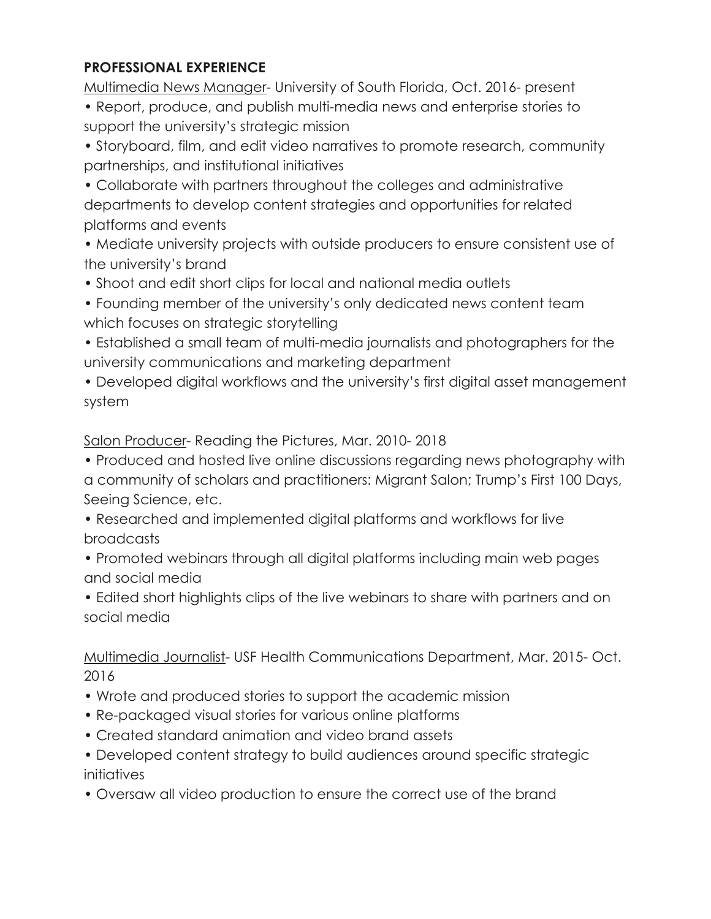## **PROFESSIONAL EXPERIENCE**

Multimedia News Manager- University of South Florida, Oct. 2016- present

- Report, produce, and publish multi-media news and enterprise stories to support the university's strategic mission
- Storyboard, film, and edit video narratives to promote research, community partnerships, and institutional initiatives
- Collaborate with partners throughout the colleges and administrative departments to develop content strategies and opportunities for related platforms and events
- Mediate university projects with outside producers to ensure consistent use of the university's brand
- Shoot and edit short clips for local and national media outlets
- Founding member of the university's only dedicated news content team which focuses on strategic storytelling
- Established a small team of multi-media journalists and photographers for the university communications and marketing department
- Developed digital workflows and the university's first digital asset management system

Salon Producer- Reading the Pictures, Mar. 2010- 2018

- Produced and hosted live online discussions regarding news photography with a community of scholars and practitioners: Migrant Salon; Trump's First 100 Days, Seeing Science, etc.
- Researched and implemented digital platforms and workflows for live broadcasts
- Promoted webinars through all digital platforms including main web pages and social media
- Edited short highlights clips of the live webinars to share with partners and on social media

Multimedia Journalist- USF Health Communications Department, Mar. 2015- Oct. 2016

- Wrote and produced stories to support the academic mission
- Re-packaged visual stories for various online platforms
- Created standard animation and video brand assets
- Developed content strategy to build audiences around specific strategic initiatives
- Oversaw all video production to ensure the correct use of the brand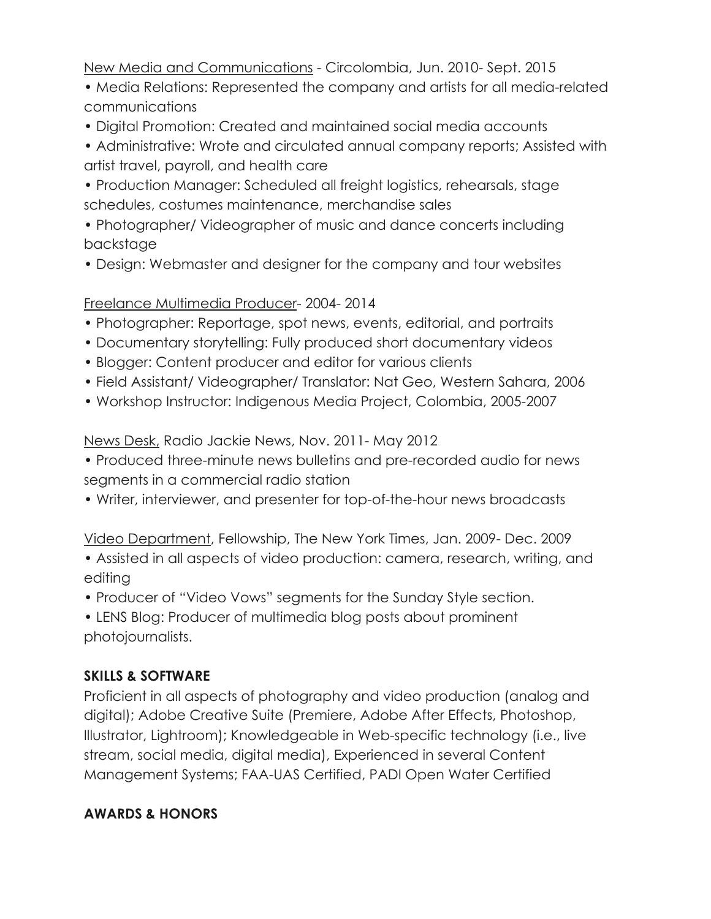New Media and Communications - Circolombia, Jun. 2010- Sept. 2015

- Media Relations: Represented the company and artists for all media-related communications
- Digital Promotion: Created and maintained social media accounts
- Administrative: Wrote and circulated annual company reports; Assisted with artist travel, payroll, and health care
- Production Manager: Scheduled all freight logistics, rehearsals, stage schedules, costumes maintenance, merchandise sales
- Photographer/ Videographer of music and dance concerts including backstage
- Design: Webmaster and designer for the company and tour websites

## Freelance Multimedia Producer- 2004- 2014

- Photographer: Reportage, spot news, events, editorial, and portraits
- Documentary storytelling: Fully produced short documentary videos
- Blogger: Content producer and editor for various clients
- Field Assistant/ Videographer/ Translator: Nat Geo, Western Sahara, 2006
- Workshop Instructor: Indigenous Media Project, Colombia, 2005-2007

News Desk, Radio Jackie News, Nov. 2011- May 2012

- Produced three-minute news bulletins and pre-recorded audio for news segments in a commercial radio station
- Writer, interviewer, and presenter for top-of-the-hour news broadcasts

Video Department, Fellowship, The New York Times, Jan. 2009- Dec. 2009

- Assisted in all aspects of video production: camera, research, writing, and editing
- Producer of "Video Vows" segments for the Sunday Style section.
- LENS Blog: Producer of multimedia blog posts about prominent photojournalists.

# **SKILLS & SOFTWARE**

Proficient in all aspects of photography and video production (analog and digital); Adobe Creative Suite (Premiere, Adobe After Effects, Photoshop, Illustrator, Lightroom); Knowledgeable in Web-specific technology (i.e., live stream, social media, digital media), Experienced in several Content Management Systems; FAA-UAS Certified, PADI Open Water Certified

# **AWARDS & HONORS**